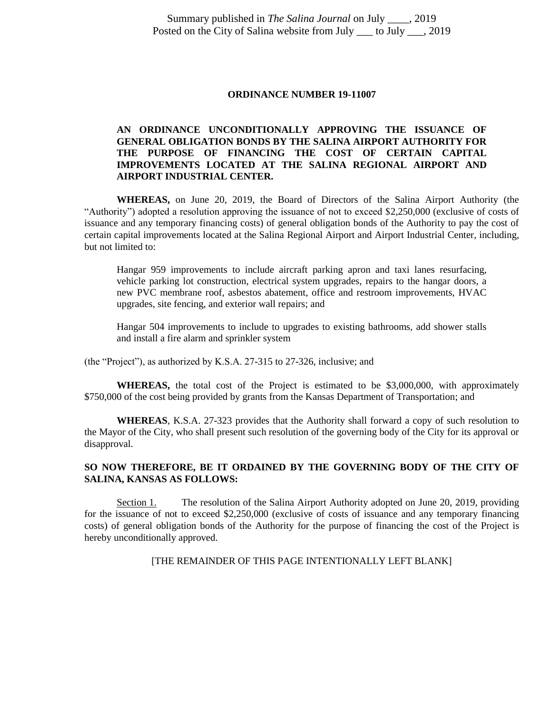#### **ORDINANCE NUMBER 19-11007**

# **AN ORDINANCE UNCONDITIONALLY APPROVING THE ISSUANCE OF GENERAL OBLIGATION BONDS BY THE SALINA AIRPORT AUTHORITY FOR THE PURPOSE OF FINANCING THE COST OF CERTAIN CAPITAL IMPROVEMENTS LOCATED AT THE SALINA REGIONAL AIRPORT AND AIRPORT INDUSTRIAL CENTER.**

**WHEREAS,** on June 20, 2019, the Board of Directors of the Salina Airport Authority (the "Authority") adopted a resolution approving the issuance of not to exceed \$2,250,000 (exclusive of costs of issuance and any temporary financing costs) of general obligation bonds of the Authority to pay the cost of certain capital improvements located at the Salina Regional Airport and Airport Industrial Center, including, but not limited to:

Hangar 959 improvements to include aircraft parking apron and taxi lanes resurfacing, vehicle parking lot construction, electrical system upgrades, repairs to the hangar doors, a new PVC membrane roof, asbestos abatement, office and restroom improvements, HVAC upgrades, site fencing, and exterior wall repairs; and

Hangar 504 improvements to include to upgrades to existing bathrooms, add shower stalls and install a fire alarm and sprinkler system

(the "Project"), as authorized by K.S.A. 27-315 to 27-326, inclusive; and

**WHEREAS,** the total cost of the Project is estimated to be \$3,000,000, with approximately \$750,000 of the cost being provided by grants from the Kansas Department of Transportation; and

**WHEREAS**, K.S.A. 27-323 provides that the Authority shall forward a copy of such resolution to the Mayor of the City, who shall present such resolution of the governing body of the City for its approval or disapproval.

# **SO NOW THEREFORE, BE IT ORDAINED BY THE GOVERNING BODY OF THE CITY OF SALINA, KANSAS AS FOLLOWS:**

Section 1. The resolution of the Salina Airport Authority adopted on June 20, 2019, providing for the issuance of not to exceed \$2,250,000 (exclusive of costs of issuance and any temporary financing costs) of general obligation bonds of the Authority for the purpose of financing the cost of the Project is hereby unconditionally approved.

[THE REMAINDER OF THIS PAGE INTENTIONALLY LEFT BLANK]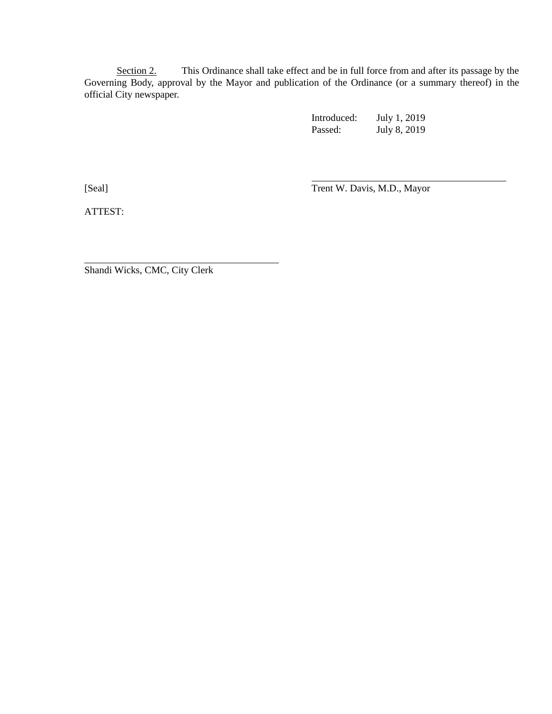Section 2. This Ordinance shall take effect and be in full force from and after its passage by the Governing Body, approval by the Mayor and publication of the Ordinance (or a summary thereof) in the official City newspaper.

> Introduced: July 1, 2019 Passed: July 8, 2019

[Seal] Trent W. Davis, M.D., Mayor

ATTEST:

Shandi Wicks, CMC, City Clerk